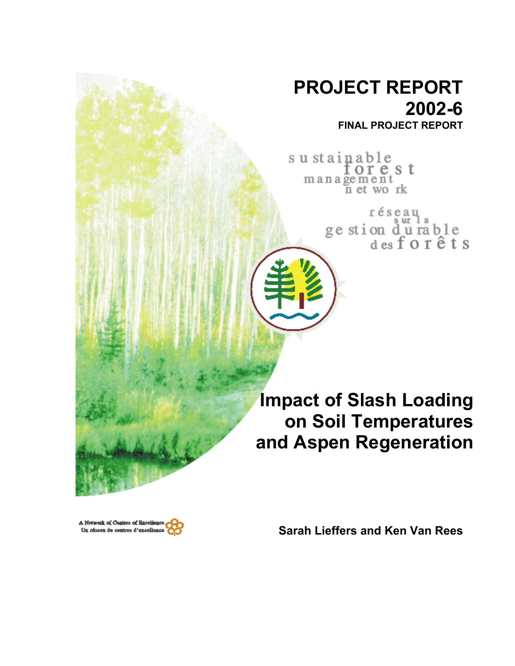# **PROJECT REPORT 2002-6 FINAL PROJECT REPORT**

sustainable orest management<br>net work

> réseau ge stion durable<br>desforêts

**Impact of Slash Loading on Soil Temperatures and Aspen Regeneration**



**Sarah Lieffers and Ken Van Rees**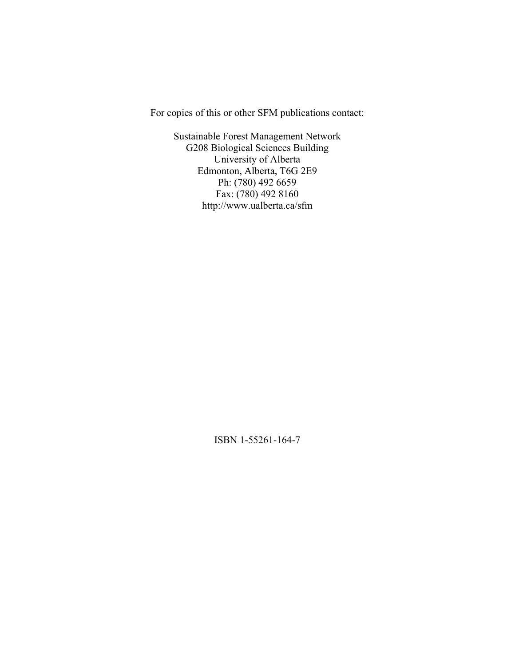For copies of this or other SFM publications contact:

Sustainable Forest Management Network G208 Biological Sciences Building University of Alberta Edmonton, Alberta, T6G 2E9 Ph: (780) 492 6659 Fax: (780) 492 8160 http://www.ualberta.ca/sfm

ISBN 1-55261-164-7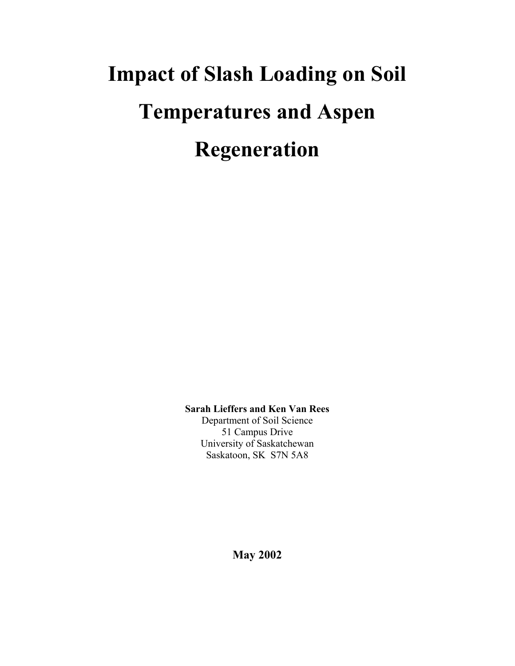# **Impact of Slash Loading on Soil Temperatures and Aspen Regeneration**

**Sarah Lieffers and Ken Van Rees**  Department of Soil Science

51 Campus Drive University of Saskatchewan Saskatoon, SK S7N 5A8

**May 2002**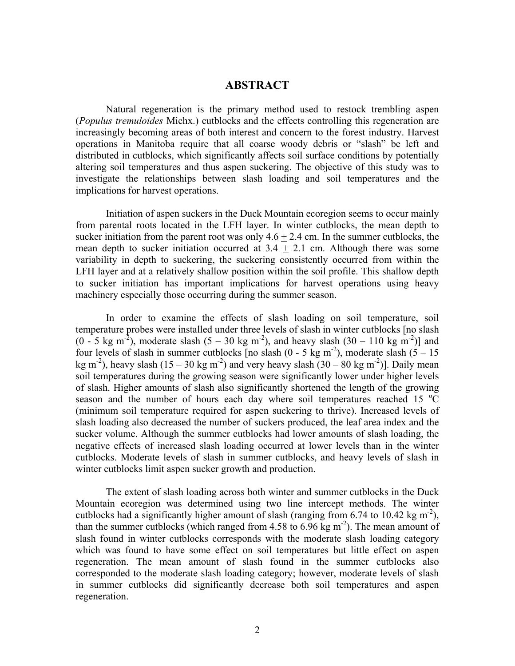# **ABSTRACT**

Natural regeneration is the primary method used to restock trembling aspen (*Populus tremuloides* Michx.) cutblocks and the effects controlling this regeneration are increasingly becoming areas of both interest and concern to the forest industry. Harvest operations in Manitoba require that all coarse woody debris or "slash" be left and distributed in cutblocks, which significantly affects soil surface conditions by potentially altering soil temperatures and thus aspen suckering. The objective of this study was to investigate the relationships between slash loading and soil temperatures and the implications for harvest operations.

Initiation of aspen suckers in the Duck Mountain ecoregion seems to occur mainly from parental roots located in the LFH layer. In winter cutblocks, the mean depth to sucker initiation from the parent root was only  $4.6 + 2.4$  cm. In the summer cutblocks, the mean depth to sucker initiation occurred at  $3.4 \pm 2.1$  cm. Although there was some variability in depth to suckering, the suckering consistently occurred from within the LFH layer and at a relatively shallow position within the soil profile. This shallow depth to sucker initiation has important implications for harvest operations using heavy machinery especially those occurring during the summer season.

In order to examine the effects of slash loading on soil temperature, soil temperature probes were installed under three levels of slash in winter cutblocks [no slash  $(0 - 5 \text{ kg m}^2)$ , moderate slash  $(5 - 30 \text{ kg m}^2)$ , and heavy slash  $(30 - 110 \text{ kg m}^2)$ ] and four levels of slash in summer cutblocks [no slash  $(0 - 5 \text{ kg m}^2)$ , moderate slash  $(5 - 15 \text{ m})$ kg m<sup>-2</sup>), heavy slash (15 – 30 kg m<sup>-2</sup>) and very heavy slash (30 – 80 kg m<sup>-2</sup>)]. Daily mean soil temperatures during the growing season were significantly lower under higher levels of slash. Higher amounts of slash also significantly shortened the length of the growing season and the number of hours each day where soil temperatures reached 15  $\degree \text{C}$ (minimum soil temperature required for aspen suckering to thrive). Increased levels of slash loading also decreased the number of suckers produced, the leaf area index and the sucker volume. Although the summer cutblocks had lower amounts of slash loading, the negative effects of increased slash loading occurred at lower levels than in the winter cutblocks. Moderate levels of slash in summer cutblocks, and heavy levels of slash in winter cutblocks limit aspen sucker growth and production.

The extent of slash loading across both winter and summer cutblocks in the Duck Mountain ecoregion was determined using two line intercept methods. The winter cutblocks had a significantly higher amount of slash (ranging from 6.74 to 10.42 kg  $m<sup>2</sup>$ ), than the summer cutblocks (which ranged from 4.58 to 6.96 kg  $m<sup>-2</sup>$ ). The mean amount of slash found in winter cutblocks corresponds with the moderate slash loading category which was found to have some effect on soil temperatures but little effect on aspen regeneration. The mean amount of slash found in the summer cutblocks also corresponded to the moderate slash loading category; however, moderate levels of slash in summer cutblocks did significantly decrease both soil temperatures and aspen regeneration.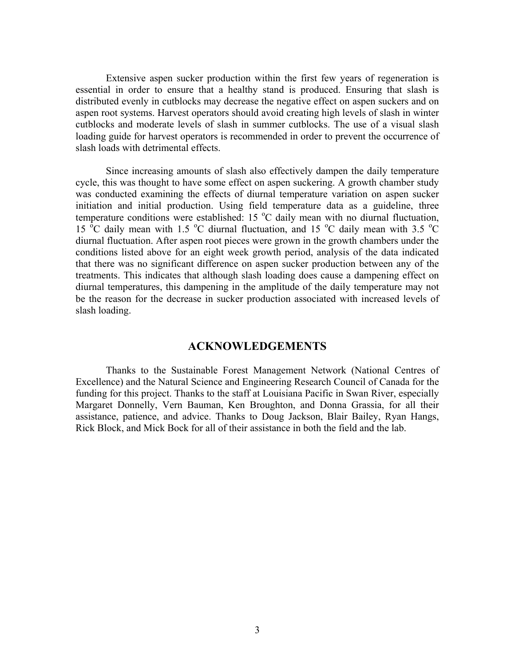Extensive aspen sucker production within the first few years of regeneration is essential in order to ensure that a healthy stand is produced. Ensuring that slash is distributed evenly in cutblocks may decrease the negative effect on aspen suckers and on aspen root systems. Harvest operators should avoid creating high levels of slash in winter cutblocks and moderate levels of slash in summer cutblocks. The use of a visual slash loading guide for harvest operators is recommended in order to prevent the occurrence of slash loads with detrimental effects.

Since increasing amounts of slash also effectively dampen the daily temperature cycle, this was thought to have some effect on aspen suckering. A growth chamber study was conducted examining the effects of diurnal temperature variation on aspen sucker initiation and initial production. Using field temperature data as a guideline, three temperature conditions were established: 15  $^{\circ}$ C daily mean with no diurnal fluctuation, 15<sup>o</sup>C daily mean with 1.5<sup>o</sup>C diurnal fluctuation, and 15<sup>o</sup>C daily mean with 3.5<sup>o</sup>C diurnal fluctuation. After aspen root pieces were grown in the growth chambers under the conditions listed above for an eight week growth period, analysis of the data indicated that there was no significant difference on aspen sucker production between any of the treatments. This indicates that although slash loading does cause a dampening effect on diurnal temperatures, this dampening in the amplitude of the daily temperature may not be the reason for the decrease in sucker production associated with increased levels of slash loading.

# **ACKNOWLEDGEMENTS**

 Thanks to the Sustainable Forest Management Network (National Centres of Excellence) and the Natural Science and Engineering Research Council of Canada for the funding for this project. Thanks to the staff at Louisiana Pacific in Swan River, especially Margaret Donnelly, Vern Bauman, Ken Broughton, and Donna Grassia, for all their assistance, patience, and advice. Thanks to Doug Jackson, Blair Bailey, Ryan Hangs, Rick Block, and Mick Bock for all of their assistance in both the field and the lab.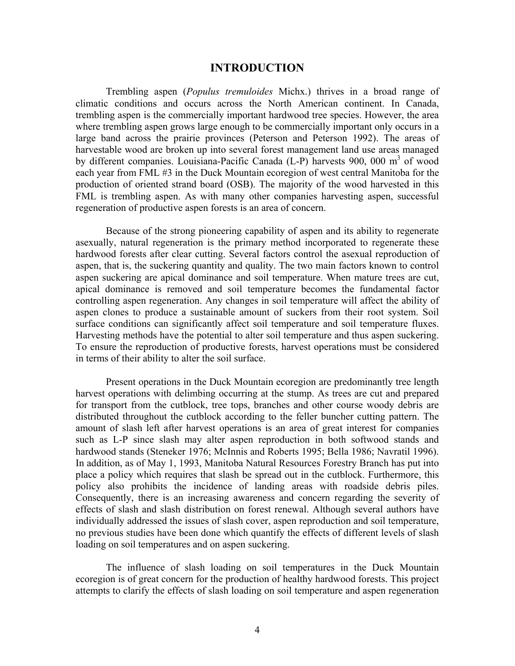#### **INTRODUCTION**

 Trembling aspen (*Populus tremuloides* Michx.) thrives in a broad range of climatic conditions and occurs across the North American continent. In Canada, trembling aspen is the commercially important hardwood tree species. However, the area where trembling aspen grows large enough to be commercially important only occurs in a large band across the prairie provinces (Peterson and Peterson 1992). The areas of harvestable wood are broken up into several forest management land use areas managed by different companies. Louisiana-Pacific Canada (L-P) harvests 900, 000 m<sup>3</sup> of wood each year from FML #3 in the Duck Mountain ecoregion of west central Manitoba for the production of oriented strand board (OSB). The majority of the wood harvested in this FML is trembling aspen. As with many other companies harvesting aspen, successful regeneration of productive aspen forests is an area of concern.

Because of the strong pioneering capability of aspen and its ability to regenerate asexually, natural regeneration is the primary method incorporated to regenerate these hardwood forests after clear cutting. Several factors control the asexual reproduction of aspen, that is, the suckering quantity and quality. The two main factors known to control aspen suckering are apical dominance and soil temperature. When mature trees are cut, apical dominance is removed and soil temperature becomes the fundamental factor controlling aspen regeneration. Any changes in soil temperature will affect the ability of aspen clones to produce a sustainable amount of suckers from their root system. Soil surface conditions can significantly affect soil temperature and soil temperature fluxes. Harvesting methods have the potential to alter soil temperature and thus aspen suckering. To ensure the reproduction of productive forests, harvest operations must be considered in terms of their ability to alter the soil surface.

 Present operations in the Duck Mountain ecoregion are predominantly tree length harvest operations with delimbing occurring at the stump. As trees are cut and prepared for transport from the cutblock, tree tops, branches and other course woody debris are distributed throughout the cutblock according to the feller buncher cutting pattern. The amount of slash left after harvest operations is an area of great interest for companies such as L-P since slash may alter aspen reproduction in both softwood stands and hardwood stands (Steneker 1976; McInnis and Roberts 1995; Bella 1986; Navratil 1996). In addition, as of May 1, 1993, Manitoba Natural Resources Forestry Branch has put into place a policy which requires that slash be spread out in the cutblock. Furthermore, this policy also prohibits the incidence of landing areas with roadside debris piles. Consequently, there is an increasing awareness and concern regarding the severity of effects of slash and slash distribution on forest renewal. Although several authors have individually addressed the issues of slash cover, aspen reproduction and soil temperature, no previous studies have been done which quantify the effects of different levels of slash loading on soil temperatures and on aspen suckering.

The influence of slash loading on soil temperatures in the Duck Mountain ecoregion is of great concern for the production of healthy hardwood forests. This project attempts to clarify the effects of slash loading on soil temperature and aspen regeneration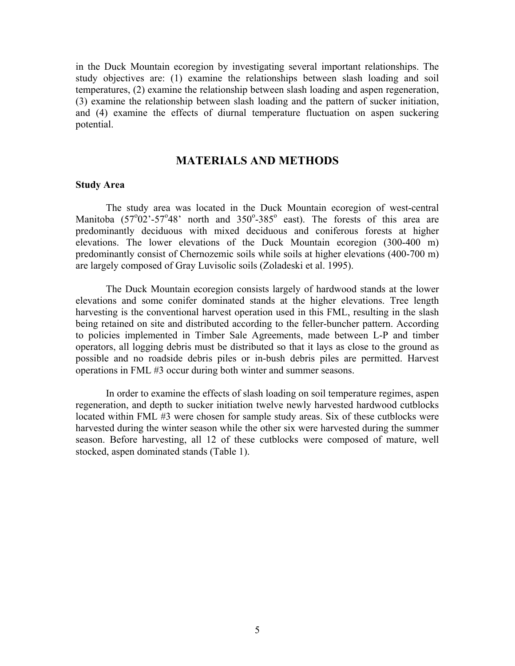in the Duck Mountain ecoregion by investigating several important relationships. The study objectives are: (1) examine the relationships between slash loading and soil temperatures, (2) examine the relationship between slash loading and aspen regeneration, (3) examine the relationship between slash loading and the pattern of sucker initiation, and (4) examine the effects of diurnal temperature fluctuation on aspen suckering potential.

## **MATERIALS AND METHODS**

#### **Study Area**

The study area was located in the Duck Mountain ecoregion of west-central Manitoba  $(57^{\circ}02^{\circ} - 57^{\circ}48^{\circ})$  north and  $350^{\circ} - 385^{\circ}$  east). The forests of this area are predominantly deciduous with mixed deciduous and coniferous forests at higher elevations. The lower elevations of the Duck Mountain ecoregion (300-400 m) predominantly consist of Chernozemic soils while soils at higher elevations (400-700 m) are largely composed of Gray Luvisolic soils (Zoladeski et al. 1995).

The Duck Mountain ecoregion consists largely of hardwood stands at the lower elevations and some conifer dominated stands at the higher elevations. Tree length harvesting is the conventional harvest operation used in this FML, resulting in the slash being retained on site and distributed according to the feller-buncher pattern. According to policies implemented in Timber Sale Agreements, made between L-P and timber operators, all logging debris must be distributed so that it lays as close to the ground as possible and no roadside debris piles or in-bush debris piles are permitted. Harvest operations in FML #3 occur during both winter and summer seasons.

In order to examine the effects of slash loading on soil temperature regimes, aspen regeneration, and depth to sucker initiation twelve newly harvested hardwood cutblocks located within FML #3 were chosen for sample study areas. Six of these cutblocks were harvested during the winter season while the other six were harvested during the summer season. Before harvesting, all 12 of these cutblocks were composed of mature, well stocked, aspen dominated stands (Table 1).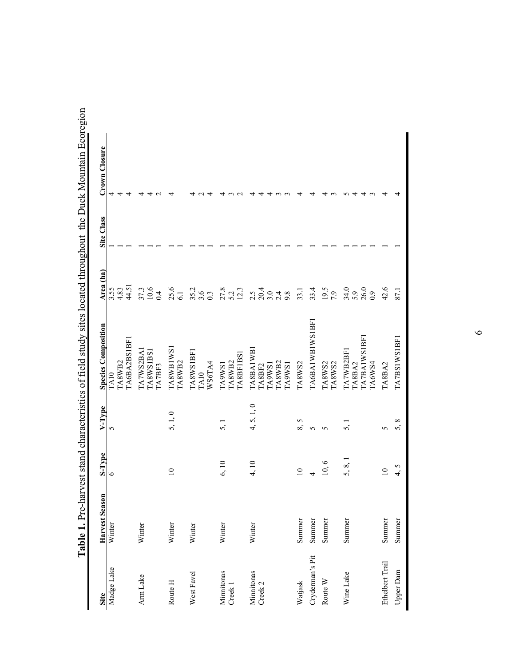| Site                  | Harvest Season | S-Type         | V-Type             | <b>Species Composition</b>                                             | Area (ha)                                  | Site Class | Crown Closure |
|-----------------------|----------------|----------------|--------------------|------------------------------------------------------------------------|--------------------------------------------|------------|---------------|
| Madge Lake            | Winter         | $\circ$        | $\sim$             | [A6BA2BS1BF]<br><b>LA8WB2</b><br>TA10                                  | 44.51<br>3.55<br>4.83                      |            |               |
| Arm Lake              | Winter         |                |                    | [A7WS2BA]<br><b>LA8WS1BS1</b><br><b>LA7BF3</b>                         | $\frac{37.3}{10.6}$                        |            |               |
| Route H               | Winter         | $\supseteq$    | 5, 1, 0            | <b>TA8WB1WS1</b><br>TA8WB2                                             | $25.6$<br>$6.1$                            |            |               |
| West Favel            | Winter         |                |                    | TA8WSIBFI<br>TA10<br>WS6TA4                                            | $35.2$<br>$3.6$<br>$0.3$                   |            |               |
| Minnitonas<br>Creek 1 | Winter         | 6, 10          | $\overline{5}$ , 1 | A8BF1BS<br>TA8WB2<br>TA9WS1                                            | $27.8$<br>$5.2$<br>$12.3$                  |            |               |
| Minnitonas<br>Creek 2 | Winter         | 4, 10          | 4, 5, 1, 0         | <b>TA8BA1WB</b><br>[ABWB2]<br>[A9WS]<br><b>LSM6V1</b><br><b>LA8BF2</b> | $2.5$<br>$2.0$<br>$3.0$<br>$\frac{4}{9.8}$ |            |               |
| Watjask               | Summer         | $\overline{a}$ | 5<br>∞໌            | TA8WS2                                                                 | 33.1                                       |            |               |
| Cryderman's Pit       | Summer         |                | S                  | TA6BA1WB1WS1BF                                                         | 33.4                                       |            |               |
| Route W               | Summer         | 10, 6          | ١n                 | TA8WS2<br>TA8WS2                                                       | 19.5                                       |            |               |
| Wine Lake             | Summer         | 5, 8,          | ς.                 | <b>TA7BAIWSIBF</b><br>TA7WB2BF1<br>TA6WS4<br>TA8BA2                    | $34.0$<br>$5.9$<br>$26.0$                  |            |               |
| Ethelbert Trail       | Summer         | $\subseteq$    | v                  | TA8BA2                                                                 | 42.6                                       |            |               |
| <b>Upper Dam</b>      | Summer         | 4,5            | $^{\circ}$         | TA7BS1WS1BF1                                                           | 87.1                                       |            |               |

Table 1. Pre-harvest stand characteristics of field study sites located throughout the Duck Mountain Ecoregion **Table 1.** Pre-harvest stand characteristics of field study sites located throughout the Duck Mountain Ecoregion

 $\circ$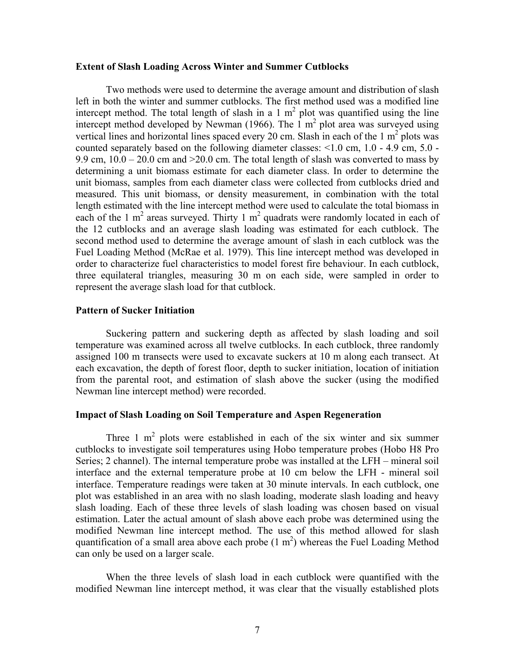#### **Extent of Slash Loading Across Winter and Summer Cutblocks**

Two methods were used to determine the average amount and distribution of slash left in both the winter and summer cutblocks. The first method used was a modified line intercept method. The total length of slash in a 1  $m<sup>2</sup>$  plot was quantified using the line intercept method developed by Newman (1966). The  $1 \text{ m}^2$  plot area was surveyed using vertical lines and horizontal lines spaced every 20 cm. Slash in each of the  $1 \text{ m}^2$  plots was counted separately based on the following diameter classes: <1.0 cm, 1.0 - 4.9 cm, 5.0 - 9.9 cm,  $10.0 - 20.0$  cm and  $>20.0$  cm. The total length of slash was converted to mass by determining a unit biomass estimate for each diameter class. In order to determine the unit biomass, samples from each diameter class were collected from cutblocks dried and measured. This unit biomass, or density measurement, in combination with the total length estimated with the line intercept method were used to calculate the total biomass in each of the 1  $m^2$  areas surveyed. Thirty 1  $m^2$  quadrats were randomly located in each of the 12 cutblocks and an average slash loading was estimated for each cutblock. The second method used to determine the average amount of slash in each cutblock was the Fuel Loading Method (McRae et al. 1979). This line intercept method was developed in order to characterize fuel characteristics to model forest fire behaviour. In each cutblock, three equilateral triangles, measuring 30 m on each side, were sampled in order to represent the average slash load for that cutblock.

### **Pattern of Sucker Initiation**

 Suckering pattern and suckering depth as affected by slash loading and soil temperature was examined across all twelve cutblocks. In each cutblock, three randomly assigned 100 m transects were used to excavate suckers at 10 m along each transect. At each excavation, the depth of forest floor, depth to sucker initiation, location of initiation from the parental root, and estimation of slash above the sucker (using the modified Newman line intercept method) were recorded.

#### **Impact of Slash Loading on Soil Temperature and Aspen Regeneration**

Three 1  $m<sup>2</sup>$  plots were established in each of the six winter and six summer cutblocks to investigate soil temperatures using Hobo temperature probes (Hobo H8 Pro Series; 2 channel). The internal temperature probe was installed at the LFH – mineral soil interface and the external temperature probe at 10 cm below the LFH - mineral soil interface. Temperature readings were taken at 30 minute intervals. In each cutblock, one plot was established in an area with no slash loading, moderate slash loading and heavy slash loading. Each of these three levels of slash loading was chosen based on visual estimation. Later the actual amount of slash above each probe was determined using the modified Newman line intercept method. The use of this method allowed for slash quantification of a small area above each probe  $(1 \text{ m}^2)$  whereas the Fuel Loading Method can only be used on a larger scale.

When the three levels of slash load in each cutblock were quantified with the modified Newman line intercept method, it was clear that the visually established plots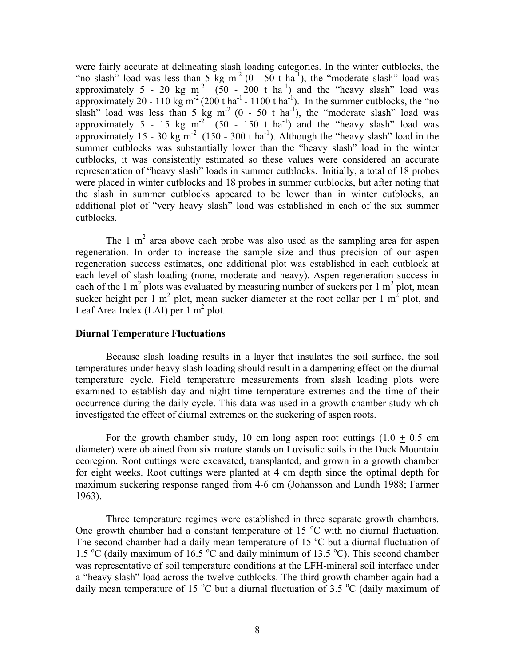were fairly accurate at delineating slash loading categories. In the winter cutblocks, the "no slash" load was less than  $5 \text{ kg m}^{-2}$  (0 -  $50 \text{ t ha}^{-1}$ ), the "moderate slash" load was approximately 5 - 20 kg m<sup>-2</sup> (50 - 200 t ha<sup>-1</sup>) and the "heavy slash" load was approximately 20 - 110 kg m<sup>-2</sup> (200 t ha<sup>-1</sup> - 1100 t ha<sup>-1</sup>). In the summer cutblocks, the "no slash" load was less than 5 kg m<sup>-2</sup> (0 - 50 t ha<sup>-1</sup>), the "moderate slash" load was approximately 5 - 15 kg m<sup>-2</sup> (50 - 150 t ha<sup>-1</sup>) and the "heavy slash" load was approximately  $15 - 30$  kg m<sup>-2</sup> ( $150 - 300$  t ha<sup>-1</sup>). Although the "heavy slash" load in the summer cutblocks was substantially lower than the "heavy slash" load in the winter cutblocks, it was consistently estimated so these values were considered an accurate representation of "heavy slash" loads in summer cutblocks. Initially, a total of 18 probes were placed in winter cutblocks and 18 probes in summer cutblocks, but after noting that the slash in summer cutblocks appeared to be lower than in winter cutblocks, an additional plot of "very heavy slash" load was established in each of the six summer cutblocks.

The 1  $m<sup>2</sup>$  area above each probe was also used as the sampling area for aspen regeneration. In order to increase the sample size and thus precision of our aspen regeneration success estimates, one additional plot was established in each cutblock at each level of slash loading (none, moderate and heavy). Aspen regeneration success in each of the 1  $m^2$  plots was evaluated by measuring number of suckers per 1  $m^2$  plot, mean sucker height per 1 m<sup>2</sup> plot, mean sucker diameter at the root collar per 1 m<sup>2</sup> plot, and Leaf Area Index (LAI) per  $1 \text{ m}^2$  plot.

#### **Diurnal Temperature Fluctuations**

Because slash loading results in a layer that insulates the soil surface, the soil temperatures under heavy slash loading should result in a dampening effect on the diurnal temperature cycle. Field temperature measurements from slash loading plots were examined to establish day and night time temperature extremes and the time of their occurrence during the daily cycle. This data was used in a growth chamber study which investigated the effect of diurnal extremes on the suckering of aspen roots.

For the growth chamber study, 10 cm long aspen root cuttings  $(1.0 + 0.5)$  cm diameter) were obtained from six mature stands on Luvisolic soils in the Duck Mountain ecoregion. Root cuttings were excavated, transplanted, and grown in a growth chamber for eight weeks. Root cuttings were planted at 4 cm depth since the optimal depth for maximum suckering response ranged from 4-6 cm (Johansson and Lundh 1988; Farmer 1963).

Three temperature regimes were established in three separate growth chambers. One growth chamber had a constant temperature of 15 °C with no diurnal fluctuation. The second chamber had a daily mean temperature of 15 $\degree$ C but a diurnal fluctuation of 1.5 °C (daily maximum of 16.5 °C and daily minimum of 13.5 °C). This second chamber was representative of soil temperature conditions at the LFH-mineral soil interface under a "heavy slash" load across the twelve cutblocks. The third growth chamber again had a daily mean temperature of 15  $^{\circ}$ C but a diurnal fluctuation of 3.5  $^{\circ}$ C (daily maximum of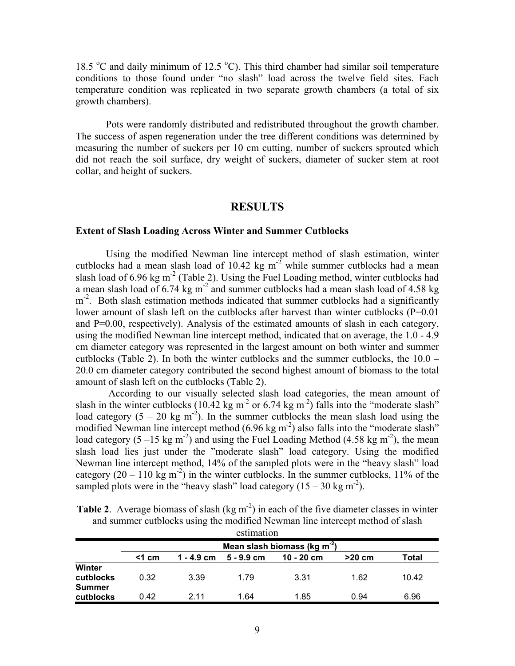18.5  $\degree$ C and daily minimum of 12.5  $\degree$ C). This third chamber had similar soil temperature conditions to those found under "no slash" load across the twelve field sites. Each temperature condition was replicated in two separate growth chambers (a total of six growth chambers).

Pots were randomly distributed and redistributed throughout the growth chamber. The success of aspen regeneration under the tree different conditions was determined by measuring the number of suckers per 10 cm cutting, number of suckers sprouted which did not reach the soil surface, dry weight of suckers, diameter of sucker stem at root collar, and height of suckers.

# **RESULTS**

#### **Extent of Slash Loading Across Winter and Summer Cutblocks**

 Using the modified Newman line intercept method of slash estimation, winter cutblocks had a mean slash load of 10.42 kg  $m<sup>-2</sup>$  while summer cutblocks had a mean slash load of 6.96 kg m<sup>-2</sup> (Table 2). Using the Fuel Loading method, winter cutblocks had a mean slash load of 6.74 kg m<sup>-2</sup> and summer cutblocks had a mean slash load of 4.58 kg m<sup>-2</sup>. Both slash estimation methods indicated that summer cutblocks had a significantly lower amount of slash left on the cutblocks after harvest than winter cutblocks (P=0.01) and P=0.00, respectively). Analysis of the estimated amounts of slash in each category, using the modified Newman line intercept method, indicated that on average, the 1.0 - 4.9 cm diameter category was represented in the largest amount on both winter and summer cutblocks (Table 2). In both the winter cutblocks and the summer cutblocks, the 10.0 – 20.0 cm diameter category contributed the second highest amount of biomass to the total amount of slash left on the cutblocks (Table 2).

 According to our visually selected slash load categories, the mean amount of slash in the winter cutblocks (10.42 kg m<sup>-2</sup> or 6.74 kg m<sup>-2</sup>) falls into the "moderate slash" load category  $(5 - 20 \text{ kg m}^2)$ . In the summer cutblocks the mean slash load using the modified Newman line intercept method  $(6.96 \text{ kg m}^2)$  also falls into the "moderate slash" load category  $(5 -15 \text{ kg m}^2)$  and using the Fuel Loading Method  $(4.58 \text{ kg m}^2)$ , the mean slash load lies just under the "moderate slash" load category. Using the modified Newman line intercept method, 14% of the sampled plots were in the "heavy slash" load category  $(20 - 110 \text{ kg m}^2)$  in the winter cutblocks. In the summer cutblocks, 11% of the sampled plots were in the "heavy slash" load category  $(15 - 30 \text{ kg m}^2)$ .

|                                             |          |            | estimation   |                                          |          |       |
|---------------------------------------------|----------|------------|--------------|------------------------------------------|----------|-------|
|                                             |          |            |              | Mean slash biomass (kg m <sup>-2</sup> ) |          |       |
|                                             | $<$ 1 cm | 1 - 4.9 cm | $5 - 9.9$ cm | $10 - 20$ cm                             | $>20$ cm | Total |
| <b>Winter</b><br>cutblocks<br><b>Summer</b> | 0.32     | 3.39       | 1.79         | 3.31                                     | 1.62     | 10.42 |
| cutblocks                                   | 0.42     | 2 11       | 1.64         | 1.85                                     | 0.94     | 6.96  |

**Table 2.** Average biomass of slash (kg m<sup>-2</sup>) in each of the five diameter classes in winter and summer cutblocks using the modified Newman line intercept method of slash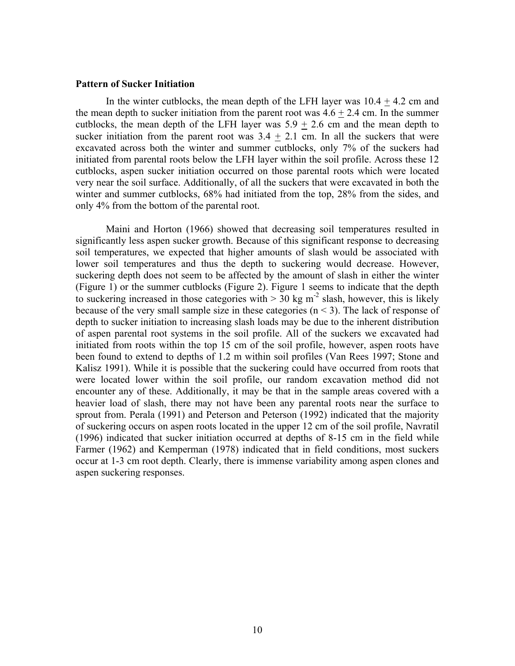#### **Pattern of Sucker Initiation**

In the winter cutblocks, the mean depth of the LFH layer was  $10.4 + 4.2$  cm and the mean depth to sucker initiation from the parent root was  $4.6 + 2.4$  cm. In the summer cutblocks, the mean depth of the LFH layer was  $5.9 \pm 2.6$  cm and the mean depth to sucker initiation from the parent root was  $3.4 + 2.1$  cm. In all the suckers that were excavated across both the winter and summer cutblocks, only 7% of the suckers had initiated from parental roots below the LFH layer within the soil profile. Across these 12 cutblocks, aspen sucker initiation occurred on those parental roots which were located very near the soil surface. Additionally, of all the suckers that were excavated in both the winter and summer cutblocks, 68% had initiated from the top, 28% from the sides, and only 4% from the bottom of the parental root.

Maini and Horton (1966) showed that decreasing soil temperatures resulted in significantly less aspen sucker growth. Because of this significant response to decreasing soil temperatures, we expected that higher amounts of slash would be associated with lower soil temperatures and thus the depth to suckering would decrease. However, suckering depth does not seem to be affected by the amount of slash in either the winter (Figure 1) or the summer cutblocks (Figure 2). Figure 1 seems to indicate that the depth to suckering increased in those categories with  $> 30$  kg m<sup>-2</sup> slash, however, this is likely because of the very small sample size in these categories  $(n < 3)$ . The lack of response of depth to sucker initiation to increasing slash loads may be due to the inherent distribution of aspen parental root systems in the soil profile. All of the suckers we excavated had initiated from roots within the top 15 cm of the soil profile, however, aspen roots have been found to extend to depths of 1.2 m within soil profiles (Van Rees 1997; Stone and Kalisz 1991). While it is possible that the suckering could have occurred from roots that were located lower within the soil profile, our random excavation method did not encounter any of these. Additionally, it may be that in the sample areas covered with a heavier load of slash, there may not have been any parental roots near the surface to sprout from. Perala (1991) and Peterson and Peterson (1992) indicated that the majority of suckering occurs on aspen roots located in the upper 12 cm of the soil profile, Navratil (1996) indicated that sucker initiation occurred at depths of 8-15 cm in the field while Farmer (1962) and Kemperman (1978) indicated that in field conditions, most suckers occur at 1-3 cm root depth. Clearly, there is immense variability among aspen clones and aspen suckering responses.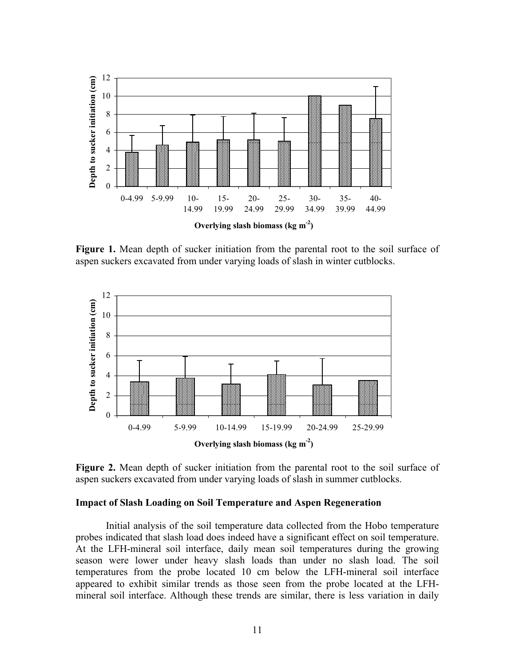

**Figure 1.** Mean depth of sucker initiation from the parental root to the soil surface of aspen suckers excavated from under varying loads of slash in winter cutblocks.



**Figure 2.** Mean depth of sucker initiation from the parental root to the soil surface of aspen suckers excavated from under varying loads of slash in summer cutblocks.

#### **Impact of Slash Loading on Soil Temperature and Aspen Regeneration**

 Initial analysis of the soil temperature data collected from the Hobo temperature probes indicated that slash load does indeed have a significant effect on soil temperature. At the LFH-mineral soil interface, daily mean soil temperatures during the growing season were lower under heavy slash loads than under no slash load. The soil temperatures from the probe located 10 cm below the LFH-mineral soil interface appeared to exhibit similar trends as those seen from the probe located at the LFHmineral soil interface. Although these trends are similar, there is less variation in daily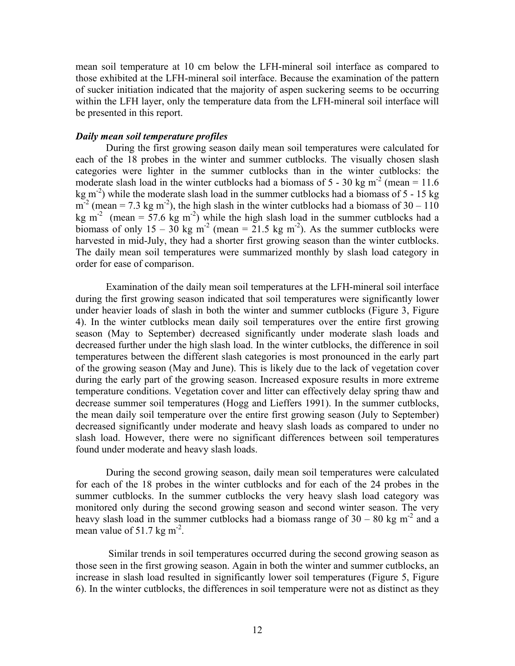mean soil temperature at 10 cm below the LFH-mineral soil interface as compared to those exhibited at the LFH-mineral soil interface. Because the examination of the pattern of sucker initiation indicated that the majority of aspen suckering seems to be occurring within the LFH layer, only the temperature data from the LFH-mineral soil interface will be presented in this report.

#### *Daily mean soil temperature profiles*

 During the first growing season daily mean soil temperatures were calculated for each of the 18 probes in the winter and summer cutblocks. The visually chosen slash categories were lighter in the summer cutblocks than in the winter cutblocks: the moderate slash load in the winter cutblocks had a biomass of  $5 - 30$  kg m<sup>-2</sup> (mean = 11.6) kg  $m<sup>2</sup>$ ) while the moderate slash load in the summer cutblocks had a biomass of 5 - 15 kg  $m^{-2}$  (mean = 7.3 kg m<sup>-2</sup>), the high slash in the winter cutblocks had a biomass of 30 – 110 kg m<sup>-2</sup> (mean = 57.6 kg m<sup>-2</sup>) while the high slash load in the summer cutblocks had a biomass of only 15 – 30 kg m<sup>-2</sup> (mean = 21.5 kg m<sup>-2</sup>). As the summer cutblocks were harvested in mid-July, they had a shorter first growing season than the winter cutblocks. The daily mean soil temperatures were summarized monthly by slash load category in order for ease of comparison.

Examination of the daily mean soil temperatures at the LFH-mineral soil interface during the first growing season indicated that soil temperatures were significantly lower under heavier loads of slash in both the winter and summer cutblocks (Figure 3, Figure 4). In the winter cutblocks mean daily soil temperatures over the entire first growing season (May to September) decreased significantly under moderate slash loads and decreased further under the high slash load. In the winter cutblocks, the difference in soil temperatures between the different slash categories is most pronounced in the early part of the growing season (May and June). This is likely due to the lack of vegetation cover during the early part of the growing season. Increased exposure results in more extreme temperature conditions. Vegetation cover and litter can effectively delay spring thaw and decrease summer soil temperatures (Hogg and Lieffers 1991). In the summer cutblocks, the mean daily soil temperature over the entire first growing season (July to September) decreased significantly under moderate and heavy slash loads as compared to under no slash load. However, there were no significant differences between soil temperatures found under moderate and heavy slash loads.

During the second growing season, daily mean soil temperatures were calculated for each of the 18 probes in the winter cutblocks and for each of the 24 probes in the summer cutblocks. In the summer cutblocks the very heavy slash load category was monitored only during the second growing season and second winter season. The very heavy slash load in the summer cutblocks had a biomass range of  $30 - 80$  kg m<sup>-2</sup> and a mean value of  $51.7$  kg m<sup>-2</sup>.

 Similar trends in soil temperatures occurred during the second growing season as those seen in the first growing season. Again in both the winter and summer cutblocks, an increase in slash load resulted in significantly lower soil temperatures (Figure 5, Figure 6). In the winter cutblocks, the differences in soil temperature were not as distinct as they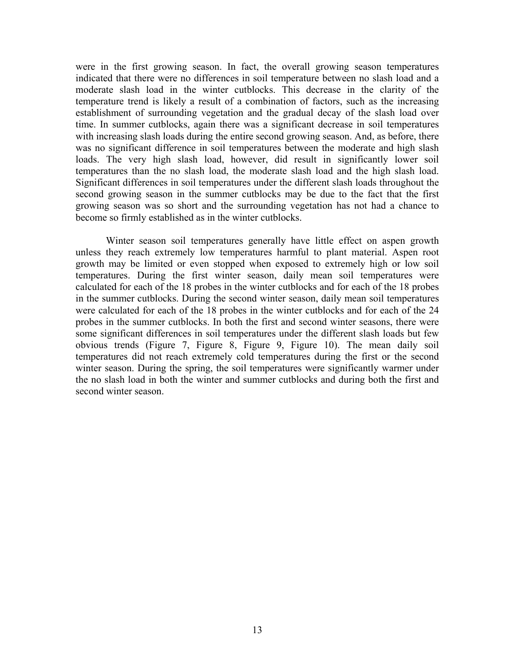were in the first growing season. In fact, the overall growing season temperatures indicated that there were no differences in soil temperature between no slash load and a moderate slash load in the winter cutblocks. This decrease in the clarity of the temperature trend is likely a result of a combination of factors, such as the increasing establishment of surrounding vegetation and the gradual decay of the slash load over time. In summer cutblocks, again there was a significant decrease in soil temperatures with increasing slash loads during the entire second growing season. And, as before, there was no significant difference in soil temperatures between the moderate and high slash loads. The very high slash load, however, did result in significantly lower soil temperatures than the no slash load, the moderate slash load and the high slash load. Significant differences in soil temperatures under the different slash loads throughout the second growing season in the summer cutblocks may be due to the fact that the first growing season was so short and the surrounding vegetation has not had a chance to become so firmly established as in the winter cutblocks.

Winter season soil temperatures generally have little effect on aspen growth unless they reach extremely low temperatures harmful to plant material. Aspen root growth may be limited or even stopped when exposed to extremely high or low soil temperatures. During the first winter season, daily mean soil temperatures were calculated for each of the 18 probes in the winter cutblocks and for each of the 18 probes in the summer cutblocks. During the second winter season, daily mean soil temperatures were calculated for each of the 18 probes in the winter cutblocks and for each of the 24 probes in the summer cutblocks. In both the first and second winter seasons, there were some significant differences in soil temperatures under the different slash loads but few obvious trends (Figure 7, Figure 8, Figure 9, Figure 10). The mean daily soil temperatures did not reach extremely cold temperatures during the first or the second winter season. During the spring, the soil temperatures were significantly warmer under the no slash load in both the winter and summer cutblocks and during both the first and second winter season.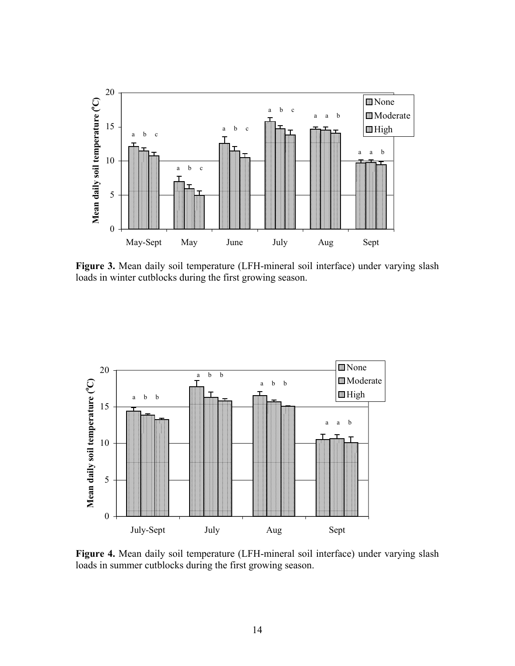

**Figure 3.** Mean daily soil temperature (LFH-mineral soil interface) under varying slash loads in winter cutblocks during the first growing season.



**Figure 4.** Mean daily soil temperature (LFH-mineral soil interface) under varying slash loads in summer cutblocks during the first growing season.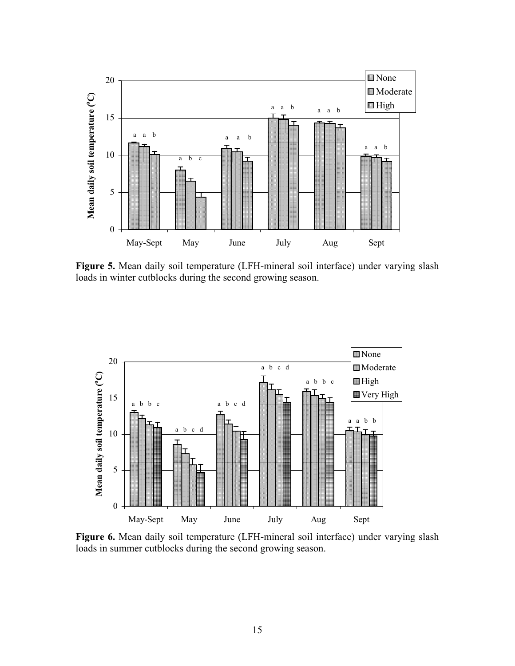

**Figure 5.** Mean daily soil temperature (LFH-mineral soil interface) under varying slash loads in winter cutblocks during the second growing season.



**Figure 6.** Mean daily soil temperature (LFH-mineral soil interface) under varying slash loads in summer cutblocks during the second growing season.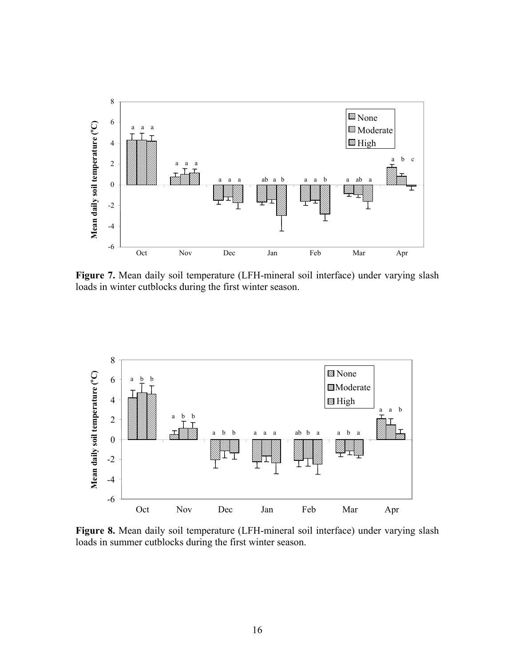

**Figure 7.** Mean daily soil temperature (LFH-mineral soil interface) under varying slash loads in winter cutblocks during the first winter season.



**Figure 8.** Mean daily soil temperature (LFH-mineral soil interface) under varying slash loads in summer cutblocks during the first winter season.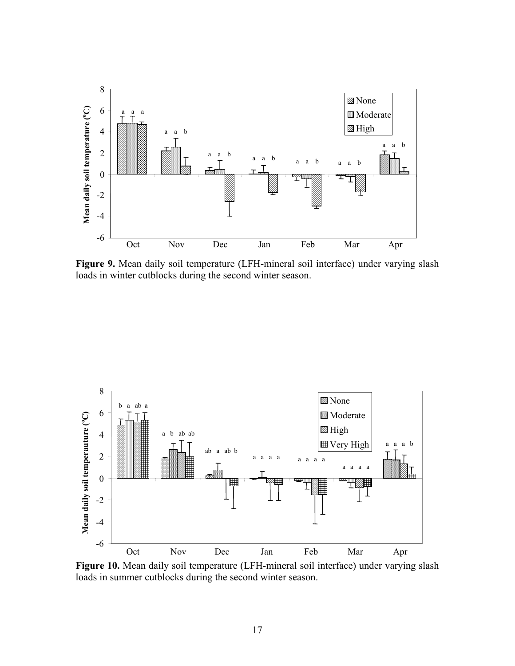

**Figure 9.** Mean daily soil temperature (LFH-mineral soil interface) under varying slash loads in winter cutblocks during the second winter season.



**Figure 10.** Mean daily soil temperature (LFH-mineral soil interface) under varying slash loads in summer cutblocks during the second winter season.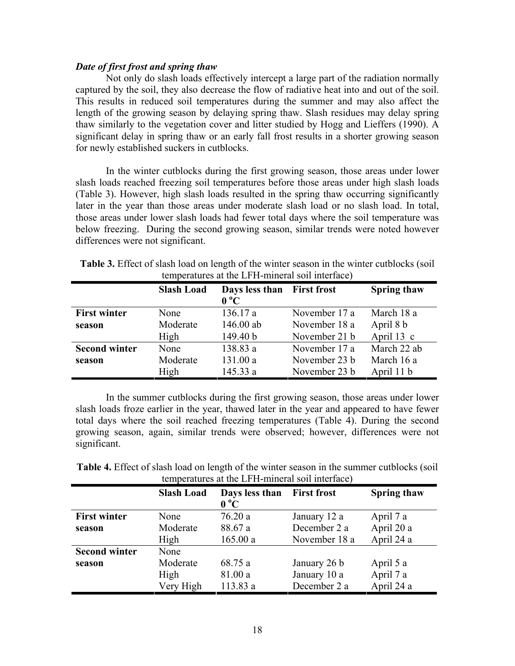### *Date of first frost and spring thaw*

Not only do slash loads effectively intercept a large part of the radiation normally captured by the soil, they also decrease the flow of radiative heat into and out of the soil. This results in reduced soil temperatures during the summer and may also affect the length of the growing season by delaying spring thaw. Slash residues may delay spring thaw similarly to the vegetation cover and litter studied by Hogg and Lieffers (1990). A significant delay in spring thaw or an early fall frost results in a shorter growing season for newly established suckers in cutblocks.

In the winter cutblocks during the first growing season, those areas under lower slash loads reached freezing soil temperatures before those areas under high slash loads (Table 3). However, high slash loads resulted in the spring thaw occurring significantly later in the year than those areas under moderate slash load or no slash load. In total, those areas under lower slash loads had fewer total days where the soil temperature was below freezing. During the second growing season, similar trends were noted however differences were not significant.

|                      |                   | temperatures at the LFH-mineral son interface) |               |                    |
|----------------------|-------------------|------------------------------------------------|---------------|--------------------|
|                      | <b>Slash Load</b> | Days less than First frost<br>$0^{\circ}C$     |               | <b>Spring thaw</b> |
| <b>First winter</b>  | None              | 136.17 a                                       | November 17 a | March 18 a         |
| season               | Moderate          | 146.00 ab                                      | November 18 a | April 8 b          |
|                      | High              | 149.40 b                                       | November 21 b | April $13$ c       |
| <b>Second winter</b> | None              | 138.83 a                                       | November 17 a | March 22 ab        |
| season               | Moderate          | 131.00 a                                       | November 23 b | March 16 a         |
|                      | High              | 145.33 a                                       | November 23 b | April 11 b         |

**Table 3.** Effect of slash load on length of the winter season in the winter cutblocks (soil temperatures at the LFH-mineral soil interface)

In the summer cutblocks during the first growing season, those areas under lower slash loads froze earlier in the year, thawed later in the year and appeared to have fewer total days where the soil reached freezing temperatures (Table 4). During the second growing season, again, similar trends were observed; however, differences were not significant.

| <b>Table 4.</b> Effect of slash load on length of the winter season in the summer cutblocks (soil |
|---------------------------------------------------------------------------------------------------|
| temperatures at the LFH-mineral soil interface)                                                   |

|                      | <b>Slash Load</b> | Days less than<br>$0^{\circ}C$ | <b>First frost</b> | <b>Spring thaw</b> |
|----------------------|-------------------|--------------------------------|--------------------|--------------------|
| <b>First winter</b>  | None              | 76.20a                         | January 12 a       | April 7 a          |
| season               | Moderate          | 88.67 a                        | December 2 a       | April 20 a         |
|                      | High              | 165.00a                        | November 18 a      | April 24 a         |
| <b>Second winter</b> | None              |                                |                    |                    |
| season               | Moderate          | 68.75 a                        | January 26 b       | April 5 a          |
|                      | High              | 81.00 a                        | January 10 a       | April 7 a          |
|                      | Very High         | 113.83 a                       | December 2 a       | April 24 a         |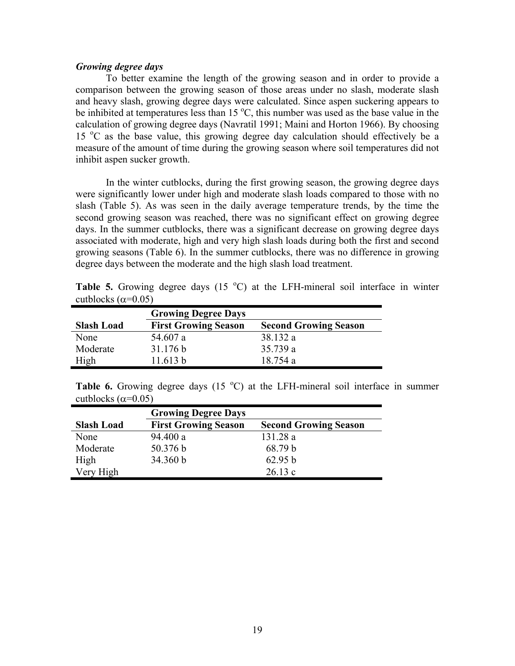#### *Growing degree days*

 To better examine the length of the growing season and in order to provide a comparison between the growing season of those areas under no slash, moderate slash and heavy slash, growing degree days were calculated. Since aspen suckering appears to be inhibited at temperatures less than  $15^{\circ}$ C, this number was used as the base value in the calculation of growing degree days (Navratil 1991; Maini and Horton 1966). By choosing 15 °C as the base value, this growing degree day calculation should effectively be a measure of the amount of time during the growing season where soil temperatures did not inhibit aspen sucker growth.

 In the winter cutblocks, during the first growing season, the growing degree days were significantly lower under high and moderate slash loads compared to those with no slash (Table 5). As was seen in the daily average temperature trends, by the time the second growing season was reached, there was no significant effect on growing degree days. In the summer cutblocks, there was a significant decrease on growing degree days associated with moderate, high and very high slash loads during both the first and second growing seasons (Table 6). In the summer cutblocks, there was no difference in growing degree days between the moderate and the high slash load treatment.

**Table 5.** Growing degree days  $(15 \text{ °C})$  at the LFH-mineral soil interface in winter cutblocks ( $\alpha$ =0.05) s,

|                   | <b>Growing Degree Days</b>  |                              |
|-------------------|-----------------------------|------------------------------|
| <b>Slash Load</b> | <b>First Growing Season</b> | <b>Second Growing Season</b> |
| None              | 54.607 a                    | 38.132 a                     |
| Moderate          | 31.176 b                    | 35.739 a                     |
| High              | 11.613 h                    | 18.754 a                     |

**Table 6.** Growing degree days  $(15 \text{ °C})$  at the LFH-mineral soil interface in summer cutblocks ( $\alpha$ =0.05)

|                   | <b>Growing Degree Days</b>  |                              |
|-------------------|-----------------------------|------------------------------|
| <b>Slash Load</b> | <b>First Growing Season</b> | <b>Second Growing Season</b> |
| None              | 94.400 a                    | 131.28a                      |
| Moderate          | 50.376 b                    | 68.79 b                      |
| High              | 34.360 b                    | 62.95 b                      |
| Very High         |                             | 26.13c                       |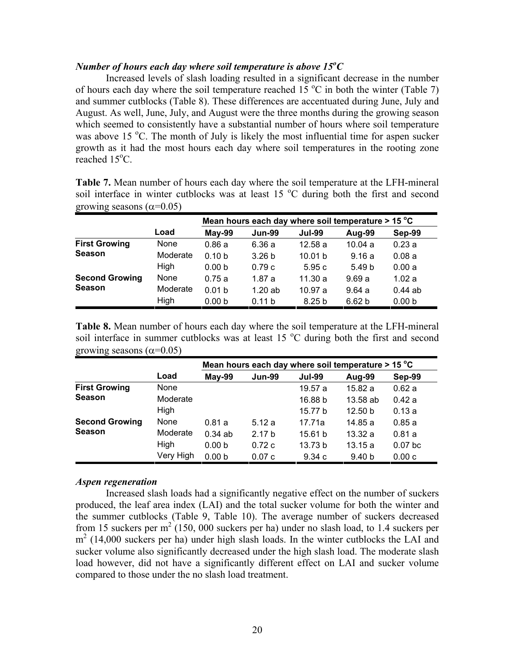# *Number of hours each day where soil temperature is above*  $15^{\circ}C$

 Increased levels of slash loading resulted in a significant decrease in the number of hours each day where the soil temperature reached  $15^{\circ}$ C in both the winter (Table 7) and summer cutblocks (Table 8). These differences are accentuated during June, July and August. As well, June, July, and August were the three months during the growing season which seemed to consistently have a substantial number of hours where soil temperature was above 15 °C. The month of July is likely the most influential time for aspen sucker growth as it had the most hours each day where soil temperatures in the rooting zone  $reached$  15 $°C$ .

**Table 7.** Mean number of hours each day where the soil temperature at the LFH-mineral soil interface in winter cutblocks was at least 15  $^{\circ}$ C during both the first and second growing seasons  $(α=0.05)$ 

|                       |          |                   |                   | Mean hours each day where soil temperature $>$ 15 °C |                   |                   |
|-----------------------|----------|-------------------|-------------------|------------------------------------------------------|-------------------|-------------------|
|                       | Load     | May-99            | <b>Jun-99</b>     | <b>Jul-99</b>                                        | Aug-99            | Sep-99            |
| <b>First Growing</b>  | None     | 0.86a             | 6.36a             | 12.58a                                               | 10.04a            | 0.23a             |
| <b>Season</b>         | Moderate | 0.10 <sub>b</sub> | 3.26 <sub>b</sub> | 10.01 <sub>b</sub>                                   | 9.16a             | 0.08a             |
|                       | High     | 0.00 <sub>b</sub> | 0.79c             | 5.95c                                                | 5.49 <sub>b</sub> | 0.00a             |
| <b>Second Growing</b> | None     | 0.75a             | 1.87a             | 11.30a                                               | 9.69a             | 1.02a             |
| <b>Season</b>         | Moderate | 0.01 <sub>b</sub> | 1.20ab            | 10.97a                                               | 9.64a             | $0.44$ ab         |
|                       | High     | 0.00 <sub>b</sub> | 0.11 b            | 8.25 <sub>b</sub>                                    | 6.62 <sub>b</sub> | 0.00 <sub>b</sub> |

**Table 8.** Mean number of hours each day where the soil temperature at the LFH-mineral soil interface in summer cutblocks was at least  $15\text{ °C}$  during both the first and second growing seasons  $(\alpha=0.05)$ 

|                       |           |                   |                   |               | Mean hours each day where soil temperature > 15 °C |           |
|-----------------------|-----------|-------------------|-------------------|---------------|----------------------------------------------------|-----------|
|                       | Load      | May-99            | <b>Jun-99</b>     | <b>Jul-99</b> | Aug-99                                             | Sep-99    |
| <b>First Growing</b>  | None      |                   |                   | 19.57 a       | 15.82 a                                            | 0.62a     |
| <b>Season</b>         | Moderate  |                   |                   | 16.88 b       | 13.58 ab                                           | 0.42a     |
|                       | High      |                   |                   | 15.77 b       | 12.50 <sub>b</sub>                                 | 0.13a     |
| <b>Second Growing</b> | None      | 0.81a             | 5.12a             | 17.71a        | 14.85 a                                            | 0.85a     |
| <b>Season</b>         | Moderate  | 0.34ab            | 2.17 <sub>b</sub> | 15.61 b       | 13.32a                                             | 0.81a     |
|                       | High      | 0.00 <sub>b</sub> | 0.72c             | 13.73 b       | 13.15a                                             | $0.07$ bc |
|                       | Very High | 0.00 <sub>b</sub> | 0.07c             | 9.34c         | 9.40 <sub>b</sub>                                  | 0.00c     |

#### *Aspen regeneration*

 Increased slash loads had a significantly negative effect on the number of suckers produced, the leaf area index (LAI) and the total sucker volume for both the winter and the summer cutblocks (Table 9, Table 10). The average number of suckers decreased from 15 suckers per  $m^2$  (150, 000 suckers per ha) under no slash load, to 1.4 suckers per  $m<sup>2</sup>$  (14,000 suckers per ha) under high slash loads. In the winter cutblocks the LAI and sucker volume also significantly decreased under the high slash load. The moderate slash load however, did not have a significantly different effect on LAI and sucker volume compared to those under the no slash load treatment.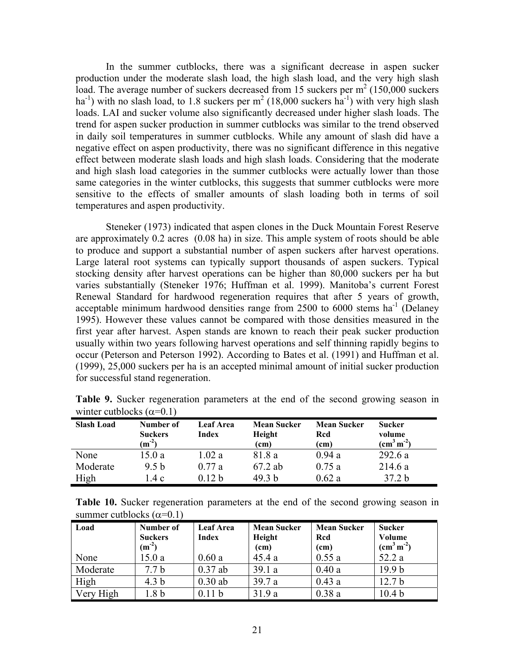In the summer cutblocks, there was a significant decrease in aspen sucker production under the moderate slash load, the high slash load, and the very high slash load. The average number of suckers decreased from 15 suckers per  $m<sup>2</sup>$  (150,000 suckers ha<sup>-1</sup>) with no slash load, to 1.8 suckers per  $m^2$  (18,000 suckers ha<sup>-1</sup>) with very high slash loads. LAI and sucker volume also significantly decreased under higher slash loads. The trend for aspen sucker production in summer cutblocks was similar to the trend observed in daily soil temperatures in summer cutblocks. While any amount of slash did have a negative effect on aspen productivity, there was no significant difference in this negative effect between moderate slash loads and high slash loads. Considering that the moderate and high slash load categories in the summer cutblocks were actually lower than those same categories in the winter cutblocks, this suggests that summer cutblocks were more sensitive to the effects of smaller amounts of slash loading both in terms of soil temperatures and aspen productivity.

 Steneker (1973) indicated that aspen clones in the Duck Mountain Forest Reserve are approximately 0.2 acres (0.08 ha) in size. This ample system of roots should be able to produce and support a substantial number of aspen suckers after harvest operations. Large lateral root systems can typically support thousands of aspen suckers. Typical stocking density after harvest operations can be higher than 80,000 suckers per ha but varies substantially (Steneker 1976; Huffman et al. 1999). Manitoba's current Forest Renewal Standard for hardwood regeneration requires that after 5 years of growth, acceptable minimum hardwood densities range from 2500 to 6000 stems  $ha^{-1}$  (Delaney 1995). However these values cannot be compared with those densities measured in the first year after harvest. Aspen stands are known to reach their peak sucker production usually within two years following harvest operations and self thinning rapidly begins to occur (Peterson and Peterson 1992). According to Bates et al. (1991) and Huffman et al. (1999), 25,000 suckers per ha is an accepted minimal amount of initial sucker production for successful stand regeneration.

| <b>Slash Load</b> | Number of<br><b>Suckers</b><br>$(m^{-2})$ | <b>Leaf Area</b><br>Index | <b>Mean Sucker</b><br>Height<br>(cm) | <b>Mean Sucker</b><br>Rcd<br>(cm) | <b>Sucker</b><br>volume<br>$\rm (cm^3\,m^{\text{-}2})$ |
|-------------------|-------------------------------------------|---------------------------|--------------------------------------|-----------------------------------|--------------------------------------------------------|
| None              | 15.0 a                                    | 1.02a                     | 81.8 a                               | 0.94a                             | 292.6a                                                 |
| Moderate          | 9.5 <sub>b</sub>                          | 0.77a                     | 67.2 ab                              | 0.75a                             | 214.6a                                                 |
| High              | 1.4 c                                     | 0.12 <sub>b</sub>         | 49.3 b                               | 0.62a                             | 37.2 <sub>b</sub>                                      |

**Table 9.** Sucker regeneration parameters at the end of the second growing season in winter cutblocks  $(\alpha=0.1)$ 

**Table 10.** Sucker regeneration parameters at the end of the second growing season in summer cutblocks  $(\alpha=0.1)$ 

| Load      | Number of        | <b>Leaf Area</b>  | <b>Mean Sucker</b> | <b>Mean Sucker</b> | <b>Sucker</b>     |
|-----------|------------------|-------------------|--------------------|--------------------|-------------------|
|           | <b>Suckers</b>   | <b>Index</b>      | Height             | Rcd                | Volume            |
|           | $(m^{-2})$       |                   | (cm)               | (cm)               | $\rm (cm^3\,m^2)$ |
| None      | 15.0a            | 0.60a             | 45.4a              | 0.55a              | 52.2 a            |
| Moderate  | 7.7 <sub>b</sub> | $0.37$ ab         | 39.1a              | 0.40a              | 19.9 <sub>b</sub> |
| High      | 4.3 <sub>b</sub> | $0.30$ ab         | 39.7a              | 0.43a              | 12.7 <sub>b</sub> |
| Very High | 1.8 b            | 0.11 <sub>b</sub> | 31.9a              | 0.38a              | 10.4 <sub>b</sub> |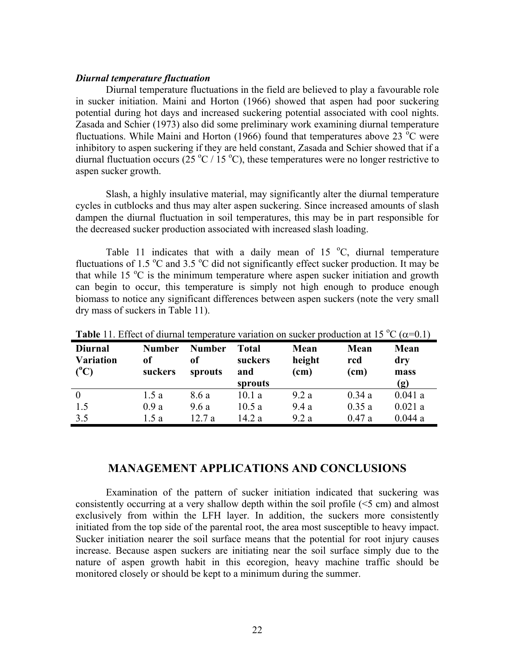#### *Diurnal temperature fluctuation*

 Diurnal temperature fluctuations in the field are believed to play a favourable role in sucker initiation. Maini and Horton (1966) showed that aspen had poor suckering potential during hot days and increased suckering potential associated with cool nights. Zasada and Schier (1973) also did some preliminary work examining diurnal temperature fluctuations. While Maini and Horton (1966) found that temperatures above 23  $^{\circ}$ C were inhibitory to aspen suckering if they are held constant, Zasada and Schier showed that if a diurnal fluctuation occurs ( $25 \text{ °C}$  / 15  $\text{ °C}$ ), these temperatures were no longer restrictive to aspen sucker growth.

Slash, a highly insulative material, may significantly alter the diurnal temperature cycles in cutblocks and thus may alter aspen suckering. Since increased amounts of slash dampen the diurnal fluctuation in soil temperatures, this may be in part responsible for the decreased sucker production associated with increased slash loading.

Table 11 indicates that with a daily mean of 15  $^{\circ}$ C, diurnal temperature fluctuations of 1.5  $\mathrm{^{\circ}C}$  and 3.5  $\mathrm{^{\circ}C}$  did not significantly effect sucker production. It may be that while 15  $\degree$ C is the minimum temperature where aspen sucker initiation and growth can begin to occur, this temperature is simply not high enough to produce enough biomass to notice any significant differences between aspen suckers (note the very small dry mass of suckers in Table 11).

| <b>Diurnal</b><br><b>Variation</b><br>$(^{0}C)$ | <b>Number</b><br>оf<br>suckers | <b>Number</b><br><sub>of</sub><br>sprouts | <b>Total</b><br>suckers<br>and<br>sprouts | Mean<br>height<br>(cm) | Mean<br>rcd<br>(cm) | Mean<br>dry<br>mass<br>(g) |
|-------------------------------------------------|--------------------------------|-------------------------------------------|-------------------------------------------|------------------------|---------------------|----------------------------|
| $\overline{0}$                                  | 1.5 a                          | 8.6 a                                     | 10.1a                                     | 9.2a                   | 0.34a               | 0.041a                     |
| 1.5                                             | 0.9a                           | 9.6a                                      | 10.5a                                     | 9.4a                   | 0.35a               | 0.021a                     |
| 3.5                                             | 1.5 a                          | 12.7a                                     | 14.2 a                                    | 9.2a                   | 0.47a               | 0.044a                     |

**Table** 11. Effect of diurnal temperature variation on sucker production at 15 °C ( $\alpha$ =0.1)

# **MANAGEMENT APPLICATIONS AND CONCLUSIONS**

Examination of the pattern of sucker initiation indicated that suckering was consistently occurring at a very shallow depth within the soil profile (<5 cm) and almost exclusively from within the LFH layer. In addition, the suckers more consistently initiated from the top side of the parental root, the area most susceptible to heavy impact. Sucker initiation nearer the soil surface means that the potential for root injury causes increase. Because aspen suckers are initiating near the soil surface simply due to the nature of aspen growth habit in this ecoregion, heavy machine traffic should be monitored closely or should be kept to a minimum during the summer.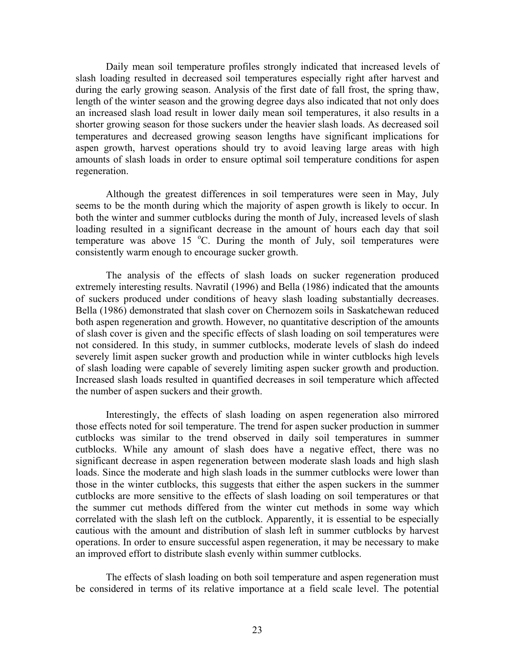Daily mean soil temperature profiles strongly indicated that increased levels of slash loading resulted in decreased soil temperatures especially right after harvest and during the early growing season. Analysis of the first date of fall frost, the spring thaw, length of the winter season and the growing degree days also indicated that not only does an increased slash load result in lower daily mean soil temperatures, it also results in a shorter growing season for those suckers under the heavier slash loads. As decreased soil temperatures and decreased growing season lengths have significant implications for aspen growth, harvest operations should try to avoid leaving large areas with high amounts of slash loads in order to ensure optimal soil temperature conditions for aspen regeneration.

Although the greatest differences in soil temperatures were seen in May, July seems to be the month during which the majority of aspen growth is likely to occur. In both the winter and summer cutblocks during the month of July, increased levels of slash loading resulted in a significant decrease in the amount of hours each day that soil temperature was above 15 °C. During the month of July, soil temperatures were consistently warm enough to encourage sucker growth.

The analysis of the effects of slash loads on sucker regeneration produced extremely interesting results. Navratil (1996) and Bella (1986) indicated that the amounts of suckers produced under conditions of heavy slash loading substantially decreases. Bella (1986) demonstrated that slash cover on Chernozem soils in Saskatchewan reduced both aspen regeneration and growth. However, no quantitative description of the amounts of slash cover is given and the specific effects of slash loading on soil temperatures were not considered. In this study, in summer cutblocks, moderate levels of slash do indeed severely limit aspen sucker growth and production while in winter cutblocks high levels of slash loading were capable of severely limiting aspen sucker growth and production. Increased slash loads resulted in quantified decreases in soil temperature which affected the number of aspen suckers and their growth.

Interestingly, the effects of slash loading on aspen regeneration also mirrored those effects noted for soil temperature. The trend for aspen sucker production in summer cutblocks was similar to the trend observed in daily soil temperatures in summer cutblocks. While any amount of slash does have a negative effect, there was no significant decrease in aspen regeneration between moderate slash loads and high slash loads. Since the moderate and high slash loads in the summer cutblocks were lower than those in the winter cutblocks, this suggests that either the aspen suckers in the summer cutblocks are more sensitive to the effects of slash loading on soil temperatures or that the summer cut methods differed from the winter cut methods in some way which correlated with the slash left on the cutblock. Apparently, it is essential to be especially cautious with the amount and distribution of slash left in summer cutblocks by harvest operations. In order to ensure successful aspen regeneration, it may be necessary to make an improved effort to distribute slash evenly within summer cutblocks.

 The effects of slash loading on both soil temperature and aspen regeneration must be considered in terms of its relative importance at a field scale level. The potential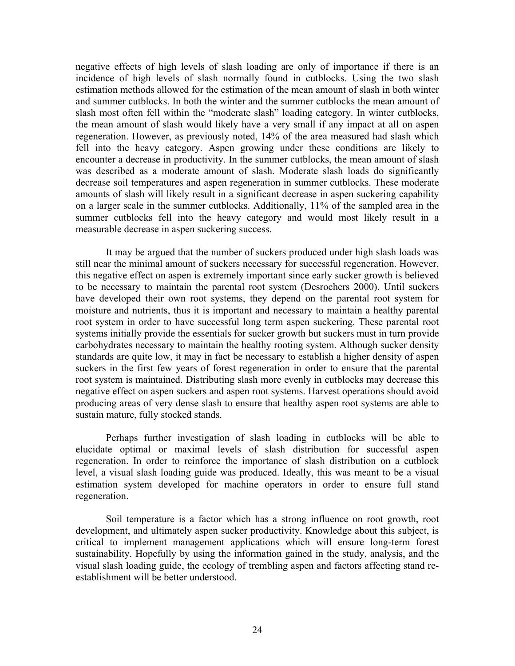negative effects of high levels of slash loading are only of importance if there is an incidence of high levels of slash normally found in cutblocks. Using the two slash estimation methods allowed for the estimation of the mean amount of slash in both winter and summer cutblocks. In both the winter and the summer cutblocks the mean amount of slash most often fell within the "moderate slash" loading category. In winter cutblocks, the mean amount of slash would likely have a very small if any impact at all on aspen regeneration. However, as previously noted, 14% of the area measured had slash which fell into the heavy category. Aspen growing under these conditions are likely to encounter a decrease in productivity. In the summer cutblocks, the mean amount of slash was described as a moderate amount of slash. Moderate slash loads do significantly decrease soil temperatures and aspen regeneration in summer cutblocks. These moderate amounts of slash will likely result in a significant decrease in aspen suckering capability on a larger scale in the summer cutblocks. Additionally, 11% of the sampled area in the summer cutblocks fell into the heavy category and would most likely result in a measurable decrease in aspen suckering success.

It may be argued that the number of suckers produced under high slash loads was still near the minimal amount of suckers necessary for successful regeneration. However, this negative effect on aspen is extremely important since early sucker growth is believed to be necessary to maintain the parental root system (Desrochers 2000). Until suckers have developed their own root systems, they depend on the parental root system for moisture and nutrients, thus it is important and necessary to maintain a healthy parental root system in order to have successful long term aspen suckering. These parental root systems initially provide the essentials for sucker growth but suckers must in turn provide carbohydrates necessary to maintain the healthy rooting system. Although sucker density standards are quite low, it may in fact be necessary to establish a higher density of aspen suckers in the first few years of forest regeneration in order to ensure that the parental root system is maintained. Distributing slash more evenly in cutblocks may decrease this negative effect on aspen suckers and aspen root systems. Harvest operations should avoid producing areas of very dense slash to ensure that healthy aspen root systems are able to sustain mature, fully stocked stands.

Perhaps further investigation of slash loading in cutblocks will be able to elucidate optimal or maximal levels of slash distribution for successful aspen regeneration. In order to reinforce the importance of slash distribution on a cutblock level, a visual slash loading guide was produced. Ideally, this was meant to be a visual estimation system developed for machine operators in order to ensure full stand regeneration.

Soil temperature is a factor which has a strong influence on root growth, root development, and ultimately aspen sucker productivity. Knowledge about this subject, is critical to implement management applications which will ensure long-term forest sustainability. Hopefully by using the information gained in the study, analysis, and the visual slash loading guide, the ecology of trembling aspen and factors affecting stand reestablishment will be better understood.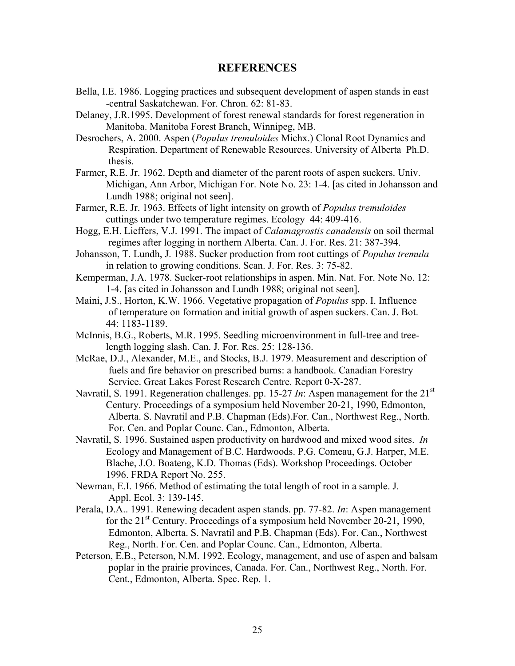# **REFERENCES**

- Bella, I.E. 1986. Logging practices and subsequent development of aspen stands in east -central Saskatchewan. For. Chron. 62: 81-83.
- Delaney, J.R.1995. Development of forest renewal standards for forest regeneration in Manitoba. Manitoba Forest Branch, Winnipeg, MB.

Desrochers, A. 2000. Aspen (*Populus tremuloides* Michx.) Clonal Root Dynamics and Respiration. Department of Renewable Resources. University of Alberta Ph.D. thesis.

- Farmer, R.E. Jr. 1962. Depth and diameter of the parent roots of aspen suckers. Univ. Michigan, Ann Arbor, Michigan For. Note No. 23: 1-4. [as cited in Johansson and Lundh 1988; original not seen].
- Farmer, R.E. Jr. 1963. Effects of light intensity on growth of *Populus tremuloides* cuttings under two temperature regimes. Ecology 44: 409-416.
- Hogg, E.H. Lieffers, V.J. 1991. The impact of *Calamagrostis canadensis* on soil thermal regimes after logging in northern Alberta. Can. J. For. Res. 21: 387-394.
- Johansson, T. Lundh, J. 1988. Sucker production from root cuttings of *Populus tremula* in relation to growing conditions. Scan. J. For. Res. 3: 75-82.
- Kemperman, J.A. 1978. Sucker-root relationships in aspen. Min. Nat. For. Note No. 12: 1-4. [as cited in Johansson and Lundh 1988; original not seen].
- Maini, J.S., Horton, K.W. 1966. Vegetative propagation of *Populus* spp. I. Influence of temperature on formation and initial growth of aspen suckers. Can. J. Bot. 44: 1183-1189.
- McInnis, B.G., Roberts, M.R. 1995. Seedling microenvironment in full-tree and treelength logging slash. Can. J. For. Res. 25: 128-136.
- McRae, D.J., Alexander, M.E., and Stocks, B.J. 1979. Measurement and description of fuels and fire behavior on prescribed burns: a handbook. Canadian Forestry Service. Great Lakes Forest Research Centre. Report 0-X-287.
- Navratil, S. 1991. Regeneration challenges. pp. 15-27 *In*: Aspen management for the 21<sup>st</sup> Century. Proceedings of a symposium held November 20-21, 1990, Edmonton, Alberta. S. Navratil and P.B. Chapman (Eds).For. Can., Northwest Reg., North. For. Cen. and Poplar Counc. Can., Edmonton, Alberta.
- Navratil, S. 1996. Sustained aspen productivity on hardwood and mixed wood sites. *In*  Ecology and Management of B.C. Hardwoods. P.G. Comeau, G.J. Harper, M.E. Blache, J.O. Boateng, K.D. Thomas (Eds). Workshop Proceedings. October 1996. FRDA Report No. 255.
- Newman, E.I. 1966. Method of estimating the total length of root in a sample. J. Appl. Ecol. 3: 139-145.
- Perala, D.A.. 1991. Renewing decadent aspen stands. pp. 77-82. *In*: Aspen management for the  $21<sup>st</sup>$  Century. Proceedings of a symposium held November 20-21, 1990, Edmonton, Alberta. S. Navratil and P.B. Chapman (Eds). For. Can., Northwest Reg., North. For. Cen. and Poplar Counc. Can., Edmonton, Alberta.
- Peterson, E.B., Peterson, N.M. 1992. Ecology, management, and use of aspen and balsam poplar in the prairie provinces, Canada. For. Can., Northwest Reg., North. For. Cent., Edmonton, Alberta. Spec. Rep. 1.